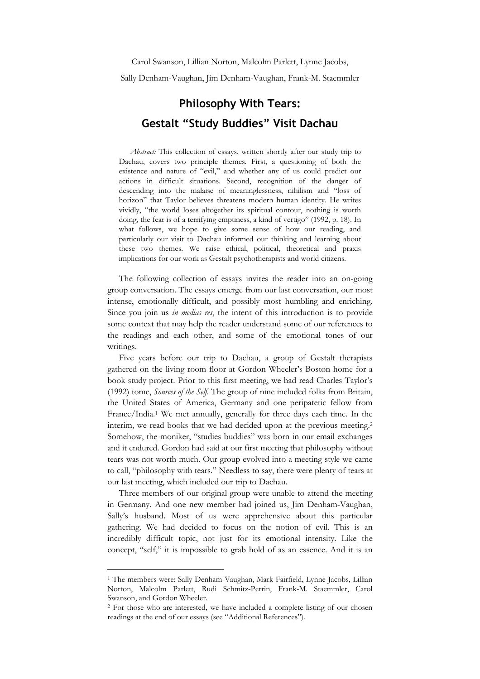Sally Denham-Vaughan, Jim Denham-Vaughan, Frank-M. Staemmler

# **Philosophy With Tears: Gestalt "Study Buddies" Visit Dachau**

*Abstract:* This collection of essays, written shortly after our study trip to Dachau, covers two principle themes. First, a questioning of both the existence and nature of "evil," and whether any of us could predict our actions in difficult situations. Second, recognition of the danger of descending into the malaise of meaninglessness, nihilism and "loss of horizon" that Taylor believes threatens modern human identity. He writes vividly, "the world loses altogether its spiritual contour, nothing is worth doing, the fear is of a terrifying emptiness, a kind of vertigo" (1992, p. 18). In what follows, we hope to give some sense of how our reading, and particularly our visit to Dachau informed our thinking and learning about these two themes. We raise ethical, political, theoretical and praxis implications for our work as Gestalt psychotherapists and world citizens.

The following collection of essays invites the reader into an on-going group conversation. The essays emerge from our last conversation, our most intense, emotionally difficult, and possibly most humbling and enriching. Since you join us *in medias res*, the intent of this introduction is to provide some context that may help the reader understand some of our references to the readings and each other, and some of the emotional tones of our writings.

Five years before our trip to Dachau, a group of Gestalt therapists gathered on the living room floor at Gordon Wheeler's Boston home for a book study project. Prior to this first meeting, we had read Charles Taylor's (1992) tome, *Sources of the Self*. The group of nine included folks from Britain, the United States of America, Germany and one peripatetic fellow from France/India.<sup>1</sup> We met annually, generally for three days each time. In the interim, we read books that we had decided upon at the previous meeting.<sup>2</sup> Somehow, the moniker, "studies buddies" was born in our email exchanges and it endured. Gordon had said at our first meeting that philosophy without tears was not worth much. Our group evolved into a meeting style we came to call, "philosophy with tears." Needless to say, there were plenty of tears at our last meeting, which included our trip to Dachau.

Three members of our original group were unable to attend the meeting in Germany. And one new member had joined us, Jim Denham-Vaughan, Sally's husband. Most of us were apprehensive about this particular gathering. We had decided to focus on the notion of evil. This is an incredibly difficult topic, not just for its emotional intensity. Like the concept, "self," it is impossible to grab hold of as an essence. And it is an

 $\overline{a}$ 

<sup>&</sup>lt;sup>1</sup> The members were: Sally Denham-Vaughan, Mark Fairfield, Lynne Jacobs, Lillian Norton, Malcolm Parlett, Rudi Schmitz-Perrin, Frank-M. Staemmler, Carol Swanson, and Gordon Wheeler.

<sup>&</sup>lt;sup>2</sup> For those who are interested, we have included a complete listing of our chosen readings at the end of our essays (see "Additional References").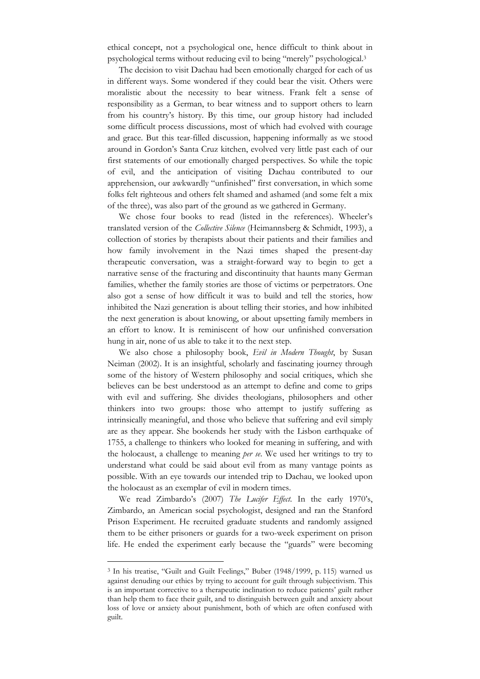ethical concept, not a psychological one, hence difficult to think about in psychological terms without reducing evil to being "merely" psychological.<sup>3</sup>

The decision to visit Dachau had been emotionally charged for each of us in different ways. Some wondered if they could bear the visit. Others were moralistic about the necessity to bear witness. Frank felt a sense of responsibility as a German, to bear witness and to support others to learn from his country's history. By this time, our group history had included some difficult process discussions, most of which had evolved with courage and grace. But this tear-filled discussion, happening informally as we stood around in Gordon's Santa Cruz kitchen, evolved very little past each of our first statements of our emotionally charged perspectives. So while the topic of evil, and the anticipation of visiting Dachau contributed to our apprehension, our awkwardly "unfinished" first conversation, in which some folks felt righteous and others felt shamed and ashamed (and some felt a mix of the three), was also part of the ground as we gathered in Germany.

We chose four books to read (listed in the references). Wheeler's translated version of the *Collective Silence* (Heimannsberg & Schmidt, 1993), a collection of stories by therapists about their patients and their families and how family involvement in the Nazi times shaped the present-day therapeutic conversation, was a straight-forward way to begin to get a narrative sense of the fracturing and discontinuity that haunts many German families, whether the family stories are those of victims or perpetrators. One also got a sense of how difficult it was to build and tell the stories, how inhibited the Nazi generation is about telling their stories, and how inhibited the next generation is about knowing, or about upsetting family members in an effort to know. It is reminiscent of how our unfinished conversation hung in air, none of us able to take it to the next step.

We also chose a philosophy book, *Evil in Modern Thought*, by Susan Neiman (2002). It is an insightful, scholarly and fascinating journey through some of the history of Western philosophy and social critiques, which she believes can be best understood as an attempt to define and come to grips with evil and suffering. She divides theologians, philosophers and other thinkers into two groups: those who attempt to justify suffering as intrinsically meaningful, and those who believe that suffering and evil simply are as they appear. She bookends her study with the Lisbon earthquake of 1755, a challenge to thinkers who looked for meaning in suffering, and with the holocaust, a challenge to meaning *per se*. We used her writings to try to understand what could be said about evil from as many vantage points as possible. With an eye towards our intended trip to Dachau, we looked upon the holocaust as an exemplar of evil in modern times.

We read Zimbardo's (2007) *The Lucifer Effect*. In the early 1970's, Zimbardo, an American social psychologist, designed and ran the Stanford Prison Experiment. He recruited graduate students and randomly assigned them to be either prisoners or guards for a two-week experiment on prison life. He ended the experiment early because the "guards" were becoming

 $\overline{a}$ 

<sup>3</sup> In his treatise, "Guilt and Guilt Feelings," Buber (1948/1999, p. 115) warned us against denuding our ethics by trying to account for guilt through subjectivism. This is an important corrective to a therapeutic inclination to reduce patients' guilt rather than help them to face their guilt, and to distinguish between guilt and anxiety about loss of love or anxiety about punishment, both of which are often confused with guilt.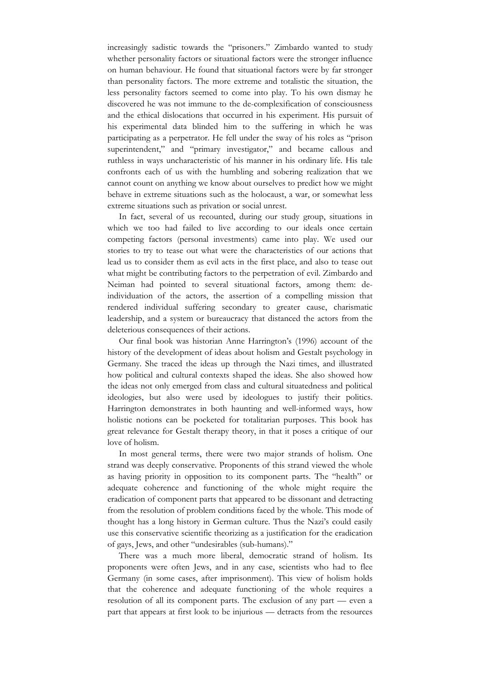increasingly sadistic towards the "prisoners." Zimbardo wanted to study whether personality factors or situational factors were the stronger influence on human behaviour. He found that situational factors were by far stronger than personality factors. The more extreme and totalistic the situation, the less personality factors seemed to come into play. To his own dismay he discovered he was not immune to the de-complexification of consciousness and the ethical dislocations that occurred in his experiment. His pursuit of his experimental data blinded him to the suffering in which he was participating as a perpetrator. He fell under the sway of his roles as "prison superintendent," and "primary investigator," and became callous and ruthless in ways uncharacteristic of his manner in his ordinary life. His tale confronts each of us with the humbling and sobering realization that we cannot count on anything we know about ourselves to predict how we might behave in extreme situations such as the holocaust, a war, or somewhat less extreme situations such as privation or social unrest.

In fact, several of us recounted, during our study group, situations in which we too had failed to live according to our ideals once certain competing factors (personal investments) came into play. We used our stories to try to tease out what were the characteristics of our actions that lead us to consider them as evil acts in the first place, and also to tease out what might be contributing factors to the perpetration of evil. Zimbardo and Neiman had pointed to several situational factors, among them: deindividuation of the actors, the assertion of a compelling mission that rendered individual suffering secondary to greater cause, charismatic leadership, and a system or bureaucracy that distanced the actors from the deleterious consequences of their actions.

Our final book was historian Anne Harrington's (1996) account of the history of the development of ideas about holism and Gestalt psychology in Germany. She traced the ideas up through the Nazi times, and illustrated how political and cultural contexts shaped the ideas. She also showed how the ideas not only emerged from class and cultural situatedness and political ideologies, but also were used by ideologues to justify their politics. Harrington demonstrates in both haunting and well-informed ways, how holistic notions can be pocketed for totalitarian purposes. This book has great relevance for Gestalt therapy theory, in that it poses a critique of our love of holism.

In most general terms, there were two major strands of holism. One strand was deeply conservative. Proponents of this strand viewed the whole as having priority in opposition to its component parts. The "health" or adequate coherence and functioning of the whole might require the eradication of component parts that appeared to be dissonant and detracting from the resolution of problem conditions faced by the whole. This mode of thought has a long history in German culture. Thus the Nazi's could easily use this conservative scientific theorizing as a justification for the eradication of gays, Jews, and other "undesirables (sub-humans)."

There was a much more liberal, democratic strand of holism. Its proponents were often Jews, and in any case, scientists who had to flee Germany (in some cases, after imprisonment). This view of holism holds that the coherence and adequate functioning of the whole requires a resolution of all its component parts. The exclusion of any part — even a part that appears at first look to be injurious — detracts from the resources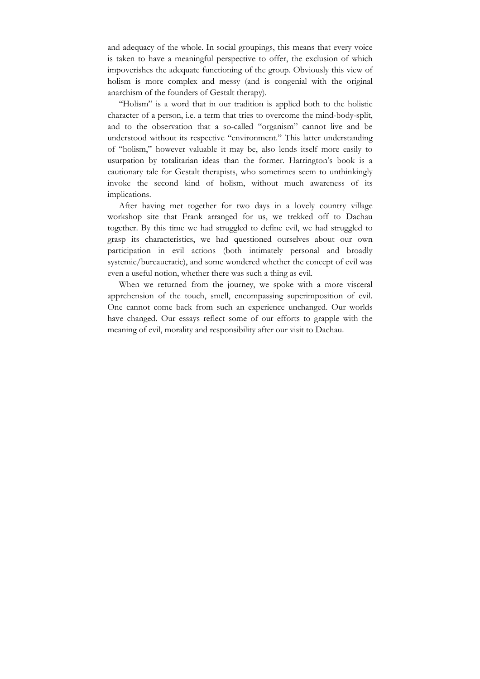and adequacy of the whole. In social groupings, this means that every voice is taken to have a meaningful perspective to offer, the exclusion of which impoverishes the adequate functioning of the group. Obviously this view of holism is more complex and messy (and is congenial with the original anarchism of the founders of Gestalt therapy).

"Holism" is a word that in our tradition is applied both to the holistic character of a person, i.e. a term that tries to overcome the mind-body-split, and to the observation that a so-called "organism" cannot live and be understood without its respective "environment." This latter understanding of "holism," however valuable it may be, also lends itself more easily to usurpation by totalitarian ideas than the former. Harrington's book is a cautionary tale for Gestalt therapists, who sometimes seem to unthinkingly invoke the second kind of holism, without much awareness of its implications.

After having met together for two days in a lovely country village workshop site that Frank arranged for us, we trekked off to Dachau together. By this time we had struggled to define evil, we had struggled to grasp its characteristics, we had questioned ourselves about our own participation in evil actions (both intimately personal and broadly systemic/bureaucratic), and some wondered whether the concept of evil was even a useful notion, whether there was such a thing as evil.

When we returned from the journey, we spoke with a more visceral apprehension of the touch, smell, encompassing superimposition of evil. One cannot come back from such an experience unchanged. Our worlds have changed. Our essays reflect some of our efforts to grapple with the meaning of evil, morality and responsibility after our visit to Dachau.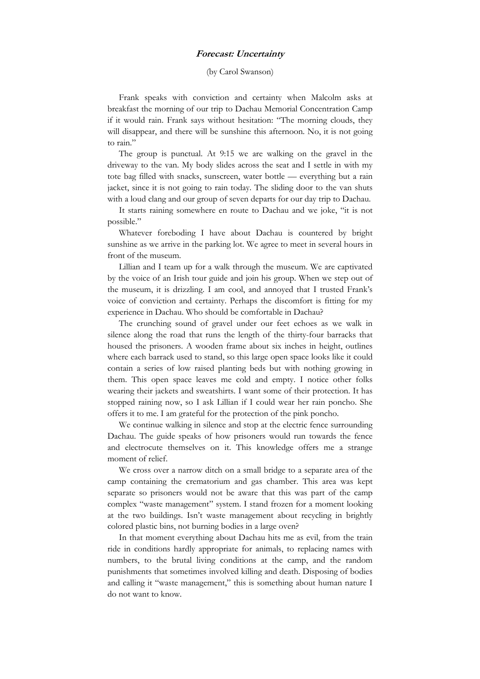## **Forecast: Uncertainty**

#### (by Carol Swanson)

Frank speaks with conviction and certainty when Malcolm asks at breakfast the morning of our trip to Dachau Memorial Concentration Camp if it would rain. Frank says without hesitation: "The morning clouds, they will disappear, and there will be sunshine this afternoon. No, it is not going to rain."

The group is punctual. At 9:15 we are walking on the gravel in the driveway to the van. My body slides across the seat and I settle in with my tote bag filled with snacks, sunscreen, water bottle — everything but a rain jacket, since it is not going to rain today. The sliding door to the van shuts with a loud clang and our group of seven departs for our day trip to Dachau.

It starts raining somewhere en route to Dachau and we joke, "it is not possible."

Whatever foreboding I have about Dachau is countered by bright sunshine as we arrive in the parking lot. We agree to meet in several hours in front of the museum.

Lillian and I team up for a walk through the museum. We are captivated by the voice of an Irish tour guide and join his group. When we step out of the museum, it is drizzling. I am cool, and annoyed that I trusted Frank's voice of conviction and certainty. Perhaps the discomfort is fitting for my experience in Dachau. Who should be comfortable in Dachau?

The crunching sound of gravel under our feet echoes as we walk in silence along the road that runs the length of the thirty-four barracks that housed the prisoners. A wooden frame about six inches in height, outlines where each barrack used to stand, so this large open space looks like it could contain a series of low raised planting beds but with nothing growing in them. This open space leaves me cold and empty. I notice other folks wearing their jackets and sweatshirts. I want some of their protection. It has stopped raining now, so I ask Lillian if I could wear her rain poncho. She offers it to me. I am grateful for the protection of the pink poncho.

We continue walking in silence and stop at the electric fence surrounding Dachau. The guide speaks of how prisoners would run towards the fence and electrocute themselves on it. This knowledge offers me a strange moment of relief.

We cross over a narrow ditch on a small bridge to a separate area of the camp containing the crematorium and gas chamber. This area was kept separate so prisoners would not be aware that this was part of the camp complex "waste management" system. I stand frozen for a moment looking at the two buildings. Isn't waste management about recycling in brightly colored plastic bins, not burning bodies in a large oven?

In that moment everything about Dachau hits me as evil, from the train ride in conditions hardly appropriate for animals, to replacing names with numbers, to the brutal living conditions at the camp, and the random punishments that sometimes involved killing and death. Disposing of bodies and calling it "waste management," this is something about human nature I do not want to know.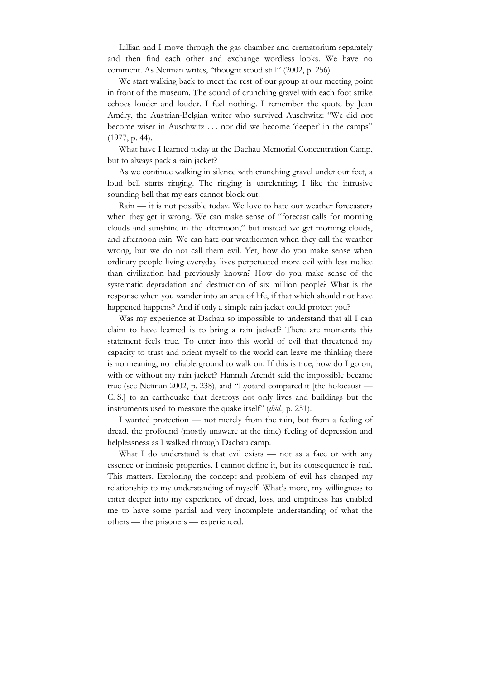Lillian and I move through the gas chamber and crematorium separately and then find each other and exchange wordless looks. We have no comment. As Neiman writes, "thought stood still" (2002, p. 256).

We start walking back to meet the rest of our group at our meeting point in front of the museum. The sound of crunching gravel with each foot strike echoes louder and louder. I feel nothing. I remember the quote by Jean Améry, the Austrian-Belgian writer who survived Auschwitz: "We did not become wiser in Auschwitz . . . nor did we become 'deeper' in the camps" (1977, p. 44).

What have I learned today at the Dachau Memorial Concentration Camp, but to always pack a rain jacket?

As we continue walking in silence with crunching gravel under our feet, a loud bell starts ringing. The ringing is unrelenting; I like the intrusive sounding bell that my ears cannot block out.

Rain — it is not possible today. We love to hate our weather forecasters when they get it wrong. We can make sense of "forecast calls for morning clouds and sunshine in the afternoon," but instead we get morning clouds, and afternoon rain. We can hate our weathermen when they call the weather wrong, but we do not call them evil. Yet, how do you make sense when ordinary people living everyday lives perpetuated more evil with less malice than civilization had previously known? How do you make sense of the systematic degradation and destruction of six million people? What is the response when you wander into an area of life, if that which should not have happened happens? And if only a simple rain jacket could protect you?

Was my experience at Dachau so impossible to understand that all I can claim to have learned is to bring a rain jacket!? There are moments this statement feels true. To enter into this world of evil that threatened my capacity to trust and orient myself to the world can leave me thinking there is no meaning, no reliable ground to walk on. If this is true, how do I go on, with or without my rain jacket? Hannah Arendt said the impossible became true (see Neiman 2002, p. 238), and "Lyotard compared it [the holocaust — C. S.] to an earthquake that destroys not only lives and buildings but the instruments used to measure the quake itself" (*ibid*., p. 251).

I wanted protection — not merely from the rain, but from a feeling of dread, the profound (mostly unaware at the time) feeling of depression and helplessness as I walked through Dachau camp.

What I do understand is that evil exists - not as a face or with any essence or intrinsic properties. I cannot define it, but its consequence is real. This matters. Exploring the concept and problem of evil has changed my relationship to my understanding of myself. What's more, my willingness to enter deeper into my experience of dread, loss, and emptiness has enabled me to have some partial and very incomplete understanding of what the others — the prisoners — experienced.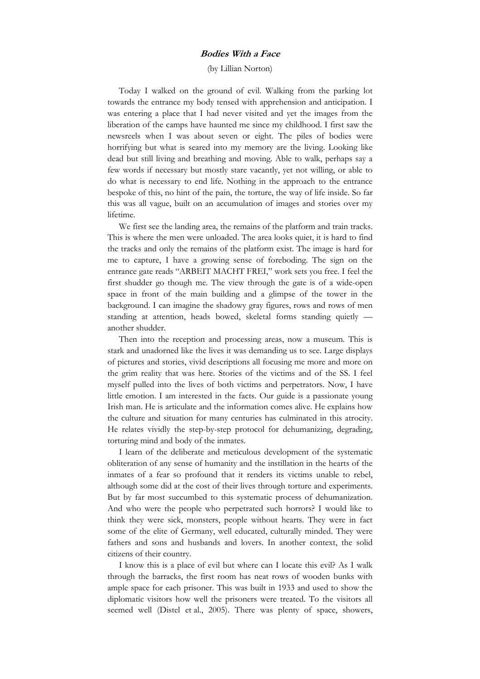# **Bodies With a Face**

(by Lillian Norton)

Today I walked on the ground of evil. Walking from the parking lot towards the entrance my body tensed with apprehension and anticipation. I was entering a place that I had never visited and yet the images from the liberation of the camps have haunted me since my childhood. I first saw the newsreels when I was about seven or eight. The piles of bodies were horrifying but what is seared into my memory are the living. Looking like dead but still living and breathing and moving. Able to walk, perhaps say a few words if necessary but mostly stare vacantly, yet not willing, or able to do what is necessary to end life. Nothing in the approach to the entrance bespoke of this, no hint of the pain, the torture, the way of life inside. So far this was all vague, built on an accumulation of images and stories over my lifetime.

We first see the landing area, the remains of the platform and train tracks. This is where the men were unloaded. The area looks quiet, it is hard to find the tracks and only the remains of the platform exist. The image is hard for me to capture, I have a growing sense of foreboding. The sign on the entrance gate reads "ARBEIT MACHT FREI," work sets you free. I feel the first shudder go though me. The view through the gate is of a wide-open space in front of the main building and a glimpse of the tower in the background. I can imagine the shadowy gray figures, rows and rows of men standing at attention, heads bowed, skeletal forms standing quietly another shudder.

Then into the reception and processing areas, now a museum. This is stark and unadorned like the lives it was demanding us to see. Large displays of pictures and stories, vivid descriptions all focusing me more and more on the grim reality that was here. Stories of the victims and of the SS. I feel myself pulled into the lives of both victims and perpetrators. Now, I have little emotion. I am interested in the facts. Our guide is a passionate young Irish man. He is articulate and the information comes alive. He explains how the culture and situation for many centuries has culminated in this atrocity. He relates vividly the step-by-step protocol for dehumanizing, degrading, torturing mind and body of the inmates.

I learn of the deliberate and meticulous development of the systematic obliteration of any sense of humanity and the instillation in the hearts of the inmates of a fear so profound that it renders its victims unable to rebel, although some did at the cost of their lives through torture and experiments. But by far most succumbed to this systematic process of dehumanization. And who were the people who perpetrated such horrors? I would like to think they were sick, monsters, people without hearts. They were in fact some of the elite of Germany, well educated, culturally minded. They were fathers and sons and husbands and lovers. In another context, the solid citizens of their country.

I know this is a place of evil but where can I locate this evil? As I walk through the barracks, the first room has neat rows of wooden bunks with ample space for each prisoner. This was built in 1933 and used to show the diplomatic visitors how well the prisoners were treated. To the visitors all seemed well (Distel et al., 2005). There was plenty of space, showers,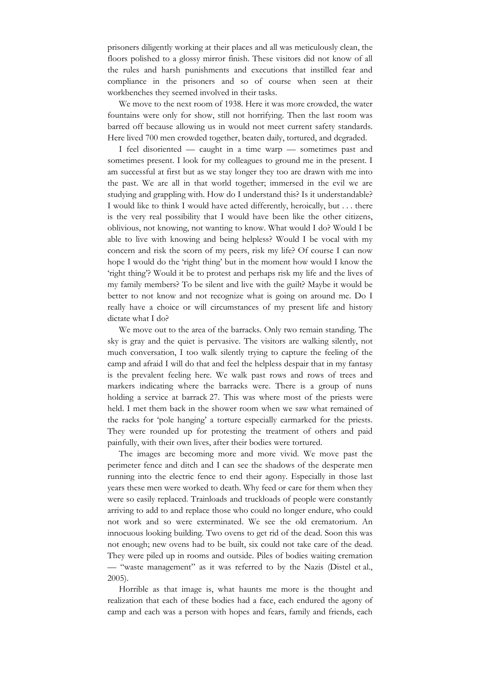prisoners diligently working at their places and all was meticulously clean, the floors polished to a glossy mirror finish. These visitors did not know of all the rules and harsh punishments and executions that instilled fear and compliance in the prisoners and so of course when seen at their workbenches they seemed involved in their tasks.

We move to the next room of 1938. Here it was more crowded, the water fountains were only for show, still not horrifying. Then the last room was barred off because allowing us in would not meet current safety standards. Here lived 700 men crowded together, beaten daily, tortured, and degraded.

I feel disoriented — caught in a time warp — sometimes past and sometimes present. I look for my colleagues to ground me in the present. I am successful at first but as we stay longer they too are drawn with me into the past. We are all in that world together; immersed in the evil we are studying and grappling with. How do I understand this? Is it understandable? I would like to think I would have acted differently, heroically, but . . . there is the very real possibility that I would have been like the other citizens, oblivious, not knowing, not wanting to know. What would I do? Would I be able to live with knowing and being helpless? Would I be vocal with my concern and risk the scorn of my peers, risk my life? Of course I can now hope I would do the 'right thing' but in the moment how would I know the 'right thing'? Would it be to protest and perhaps risk my life and the lives of my family members? To be silent and live with the guilt? Maybe it would be better to not know and not recognize what is going on around me. Do I really have a choice or will circumstances of my present life and history dictate what I do?

We move out to the area of the barracks. Only two remain standing. The sky is gray and the quiet is pervasive. The visitors are walking silently, not much conversation, I too walk silently trying to capture the feeling of the camp and afraid I will do that and feel the helpless despair that in my fantasy is the prevalent feeling here. We walk past rows and rows of trees and markers indicating where the barracks were. There is a group of nuns holding a service at barrack 27. This was where most of the priests were held. I met them back in the shower room when we saw what remained of the racks for 'pole hanging' a torture especially earmarked for the priests. They were rounded up for protesting the treatment of others and paid painfully, with their own lives, after their bodies were tortured.

The images are becoming more and more vivid. We move past the perimeter fence and ditch and I can see the shadows of the desperate men running into the electric fence to end their agony. Especially in those last years these men were worked to death. Why feed or care for them when they were so easily replaced. Trainloads and truckloads of people were constantly arriving to add to and replace those who could no longer endure, who could not work and so were exterminated. We see the old crematorium. An innocuous looking building. Two ovens to get rid of the dead. Soon this was not enough; new ovens had to be built, six could not take care of the dead. They were piled up in rooms and outside. Piles of bodies waiting cremation — "waste management" as it was referred to by the Nazis (Distel et al., 2005).

Horrible as that image is, what haunts me more is the thought and realization that each of these bodies had a face, each endured the agony of camp and each was a person with hopes and fears, family and friends, each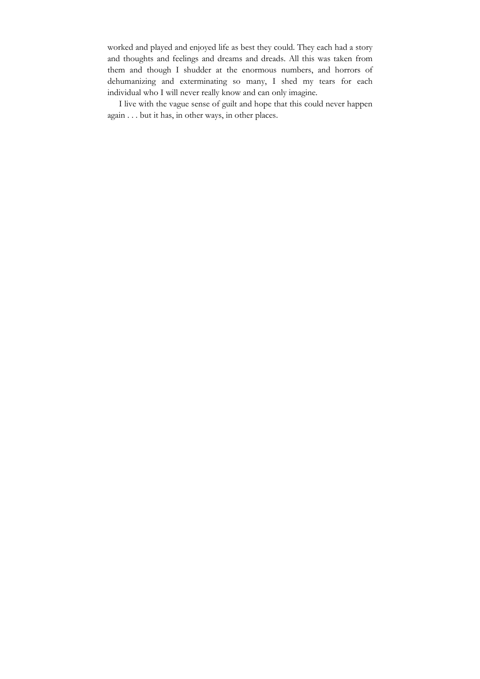worked and played and enjoyed life as best they could. They each had a story and thoughts and feelings and dreams and dreads. All this was taken from them and though I shudder at the enormous numbers, and horrors of dehumanizing and exterminating so many, I shed my tears for each individual who I will never really know and can only imagine.

I live with the vague sense of guilt and hope that this could never happen again . . . but it has, in other ways, in other places.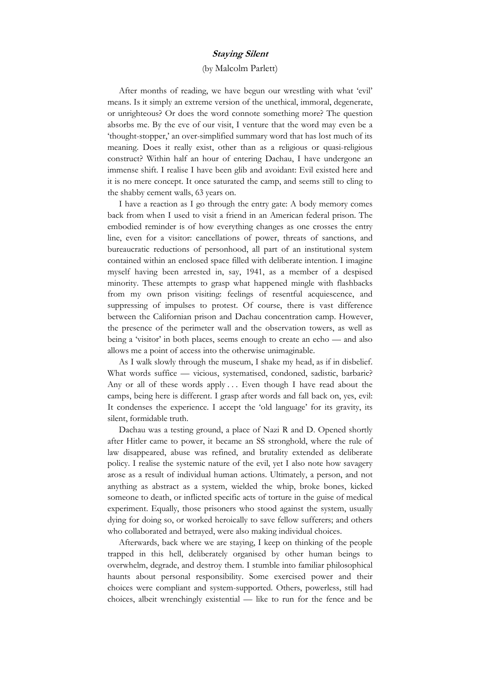# **Staying Silent**

# (by Malcolm Parlett)

After months of reading, we have begun our wrestling with what 'evil' means. Is it simply an extreme version of the unethical, immoral, degenerate, or unrighteous? Or does the word connote something more? The question absorbs me. By the eve of our visit, I venture that the word may even be a 'thought-stopper,' an over-simplified summary word that has lost much of its meaning. Does it really exist, other than as a religious or quasi-religious construct? Within half an hour of entering Dachau, I have undergone an immense shift. I realise I have been glib and avoidant: Evil existed here and it is no mere concept. It once saturated the camp, and seems still to cling to the shabby cement walls, 63 years on.

I have a reaction as I go through the entry gate: A body memory comes back from when I used to visit a friend in an American federal prison. The embodied reminder is of how everything changes as one crosses the entry line, even for a visitor: cancellations of power, threats of sanctions, and bureaucratic reductions of personhood, all part of an institutional system contained within an enclosed space filled with deliberate intention. I imagine myself having been arrested in, say, 1941, as a member of a despised minority. These attempts to grasp what happened mingle with flashbacks from my own prison visiting: feelings of resentful acquiescence, and suppressing of impulses to protest. Of course, there is vast difference between the Californian prison and Dachau concentration camp. However, the presence of the perimeter wall and the observation towers, as well as being a 'visitor' in both places, seems enough to create an echo — and also allows me a point of access into the otherwise unimaginable.

As I walk slowly through the museum, I shake my head, as if in disbelief. What words suffice — vicious, systematised, condoned, sadistic, barbaric? Any or all of these words apply ... Even though I have read about the camps, being here is different. I grasp after words and fall back on, yes, evil: It condenses the experience. I accept the 'old language' for its gravity, its silent, formidable truth.

Dachau was a testing ground, a place of Nazi R and D. Opened shortly after Hitler came to power, it became an SS stronghold, where the rule of law disappeared, abuse was refined, and brutality extended as deliberate policy. I realise the systemic nature of the evil, yet I also note how savagery arose as a result of individual human actions. Ultimately, a person, and not anything as abstract as a system, wielded the whip, broke bones, kicked someone to death, or inflicted specific acts of torture in the guise of medical experiment. Equally, those prisoners who stood against the system, usually dying for doing so, or worked heroically to save fellow sufferers; and others who collaborated and betrayed, were also making individual choices.

Afterwards, back where we are staying, I keep on thinking of the people trapped in this hell, deliberately organised by other human beings to overwhelm, degrade, and destroy them. I stumble into familiar philosophical haunts about personal responsibility. Some exercised power and their choices were compliant and system-supported. Others, powerless, still had choices, albeit wrenchingly existential — like to run for the fence and be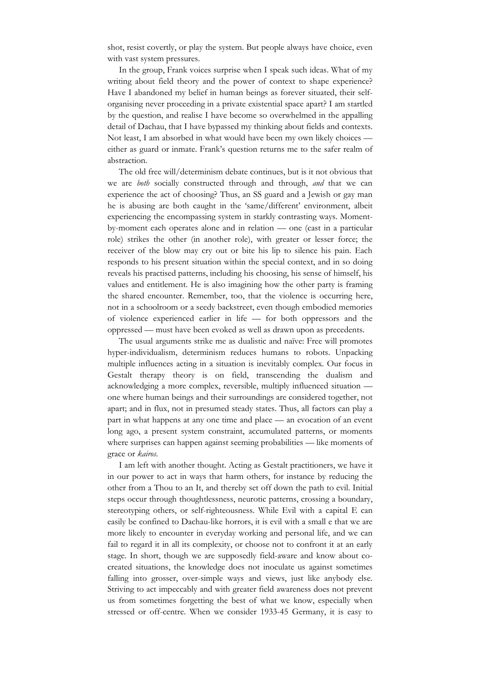shot, resist covertly, or play the system. But people always have choice, even with vast system pressures.

In the group, Frank voices surprise when I speak such ideas. What of my writing about field theory and the power of context to shape experience? Have I abandoned my belief in human beings as forever situated, their selforganising never proceeding in a private existential space apart? I am startled by the question, and realise I have become so overwhelmed in the appalling detail of Dachau, that I have bypassed my thinking about fields and contexts. Not least, I am absorbed in what would have been my own likely choices either as guard or inmate. Frank's question returns me to the safer realm of abstraction.

The old free will/determinism debate continues, but is it not obvious that we are *both* socially constructed through and through, *and* that we can experience the act of choosing? Thus, an SS guard and a Jewish or gay man he is abusing are both caught in the 'same/different' environment, albeit experiencing the encompassing system in starkly contrasting ways. Momentby-moment each operates alone and in relation — one (cast in a particular role) strikes the other (in another role), with greater or lesser force; the receiver of the blow may cry out or bite his lip to silence his pain. Each responds to his present situation within the special context, and in so doing reveals his practised patterns, including his choosing, his sense of himself, his values and entitlement. He is also imagining how the other party is framing the shared encounter. Remember, too, that the violence is occurring here, not in a schoolroom or a seedy backstreet, even though embodied memories of violence experienced earlier in life — for both oppressors and the oppressed — must have been evoked as well as drawn upon as precedents.

The usual arguments strike me as dualistic and naïve: Free will promotes hyper-individualism, determinism reduces humans to robots. Unpacking multiple influences acting in a situation is inevitably complex. Our focus in Gestalt therapy theory is on field, transcending the dualism and acknowledging a more complex, reversible, multiply influenced situation one where human beings and their surroundings are considered together, not apart; and in flux, not in presumed steady states. Thus, all factors can play a part in what happens at any one time and place — an evocation of an event long ago, a present system constraint, accumulated patterns, or moments where surprises can happen against seeming probabilities — like moments of grace or *kairos*.

I am left with another thought. Acting as Gestalt practitioners, we have it in our power to act in ways that harm others, for instance by reducing the other from a Thou to an It, and thereby set off down the path to evil. Initial steps occur through thoughtlessness, neurotic patterns, crossing a boundary, stereotyping others, or self-righteousness. While Evil with a capital E can easily be confined to Dachau-like horrors, it is evil with a small e that we are more likely to encounter in everyday working and personal life, and we can fail to regard it in all its complexity, or choose not to confront it at an early stage. In short, though we are supposedly field-aware and know about cocreated situations, the knowledge does not inoculate us against sometimes falling into grosser, over-simple ways and views, just like anybody else. Striving to act impeccably and with greater field awareness does not prevent us from sometimes forgetting the best of what we know, especially when stressed or off-centre. When we consider 1933-45 Germany, it is easy to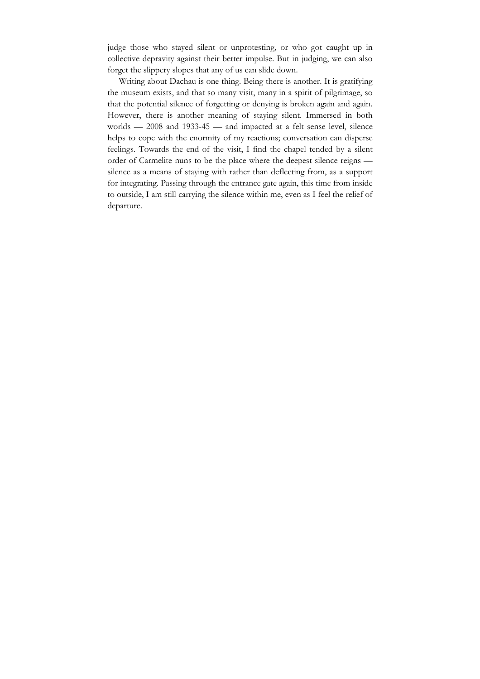judge those who stayed silent or unprotesting, or who got caught up in collective depravity against their better impulse. But in judging, we can also forget the slippery slopes that any of us can slide down.

Writing about Dachau is one thing. Being there is another. It is gratifying the museum exists, and that so many visit, many in a spirit of pilgrimage, so that the potential silence of forgetting or denying is broken again and again. However, there is another meaning of staying silent. Immersed in both worlds — 2008 and 1933-45 — and impacted at a felt sense level, silence helps to cope with the enormity of my reactions; conversation can disperse feelings. Towards the end of the visit, I find the chapel tended by a silent order of Carmelite nuns to be the place where the deepest silence reigns silence as a means of staying with rather than deflecting from, as a support for integrating. Passing through the entrance gate again, this time from inside to outside, I am still carrying the silence within me, even as I feel the relief of departure.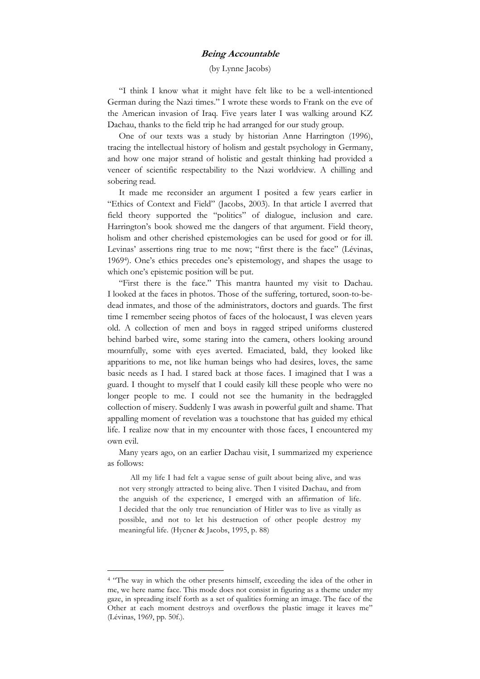## **Being Accountable**

(by Lynne Jacobs)

"I think I know what it might have felt like to be a well-intentioned German during the Nazi times." I wrote these words to Frank on the eve of the American invasion of Iraq. Five years later I was walking around KZ Dachau, thanks to the field trip he had arranged for our study group.

One of our texts was a study by historian Anne Harrington (1996), tracing the intellectual history of holism and gestalt psychology in Germany, and how one major strand of holistic and gestalt thinking had provided a veneer of scientific respectability to the Nazi worldview. A chilling and sobering read.

It made me reconsider an argument I posited a few years earlier in "Ethics of Context and Field" (Jacobs, 2003). In that article I averred that field theory supported the "politics" of dialogue, inclusion and care. Harrington's book showed me the dangers of that argument. Field theory, holism and other cherished epistemologies can be used for good or for ill. Levinas' assertions ring true to me now; "first there is the face" (Lévinas, 1969<sup>4</sup> ). One's ethics precedes one's epistemology, and shapes the usage to which one's epistemic position will be put.

"First there is the face." This mantra haunted my visit to Dachau. I looked at the faces in photos. Those of the suffering, tortured, soon-to-bedead inmates, and those of the administrators, doctors and guards. The first time I remember seeing photos of faces of the holocaust, I was eleven years old. A collection of men and boys in ragged striped uniforms clustered behind barbed wire, some staring into the camera, others looking around mournfully, some with eyes averted. Emaciated, bald, they looked like apparitions to me, not like human beings who had desires, loves, the same basic needs as I had. I stared back at those faces. I imagined that I was a guard. I thought to myself that I could easily kill these people who were no longer people to me. I could not see the humanity in the bedraggled collection of misery. Suddenly I was awash in powerful guilt and shame. That appalling moment of revelation was a touchstone that has guided my ethical life. I realize now that in my encounter with those faces, I encountered my own evil.

Many years ago, on an earlier Dachau visit, I summarized my experience as follows:

All my life I had felt a vague sense of guilt about being alive, and was not very strongly attracted to being alive. Then I visited Dachau, and from the anguish of the experience, I emerged with an affirmation of life. I decided that the only true renunciation of Hitler was to live as vitally as possible, and not to let his destruction of other people destroy my meaningful life. (Hycner & Jacobs, 1995, p. 88)

 $\overline{a}$ 

<sup>&</sup>lt;sup>4</sup> "The way in which the other presents himself, exceeding the idea of the other in me, we here name face. This mode does not consist in figuring as a theme under my gaze, in spreading itself forth as a set of qualities forming an image. The face of the Other at each moment destroys and overflows the plastic image it leaves me" (Lévinas, 1969, pp. 50f.).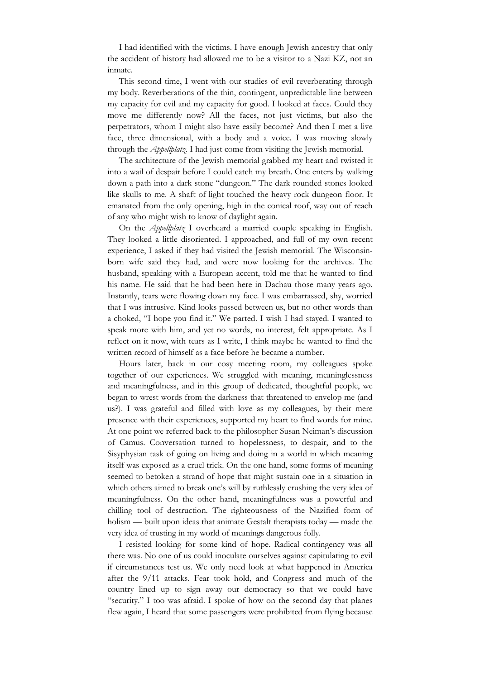I had identified with the victims. I have enough Jewish ancestry that only the accident of history had allowed me to be a visitor to a Nazi KZ, not an inmate.

This second time, I went with our studies of evil reverberating through my body. Reverberations of the thin, contingent, unpredictable line between my capacity for evil and my capacity for good. I looked at faces. Could they move me differently now? All the faces, not just victims, but also the perpetrators, whom I might also have easily become? And then I met a live face, three dimensional, with a body and a voice. I was moving slowly through the *Appellplatz*. I had just come from visiting the Jewish memorial.

The architecture of the Jewish memorial grabbed my heart and twisted it into a wail of despair before I could catch my breath. One enters by walking down a path into a dark stone "dungeon." The dark rounded stones looked like skulls to me. A shaft of light touched the heavy rock dungeon floor. It emanated from the only opening, high in the conical roof, way out of reach of any who might wish to know of daylight again.

On the *Appellplatz* I overheard a married couple speaking in English. They looked a little disoriented. I approached, and full of my own recent experience, I asked if they had visited the Jewish memorial. The Wisconsinborn wife said they had, and were now looking for the archives. The husband, speaking with a European accent, told me that he wanted to find his name. He said that he had been here in Dachau those many years ago. Instantly, tears were flowing down my face. I was embarrassed, shy, worried that I was intrusive. Kind looks passed between us, but no other words than a choked, "I hope you find it." We parted. I wish I had stayed. I wanted to speak more with him, and yet no words, no interest, felt appropriate. As I reflect on it now, with tears as I write, I think maybe he wanted to find the written record of himself as a face before he became a number.

Hours later, back in our cosy meeting room, my colleagues spoke together of our experiences. We struggled with meaning, meaninglessness and meaningfulness, and in this group of dedicated, thoughtful people, we began to wrest words from the darkness that threatened to envelop me (and us?). I was grateful and filled with love as my colleagues, by their mere presence with their experiences, supported my heart to find words for mine. At one point we referred back to the philosopher Susan Neiman's discussion of Camus. Conversation turned to hopelessness, to despair, and to the Sisyphysian task of going on living and doing in a world in which meaning itself was exposed as a cruel trick. On the one hand, some forms of meaning seemed to betoken a strand of hope that might sustain one in a situation in which others aimed to break one's will by ruthlessly crushing the very idea of meaningfulness. On the other hand, meaningfulness was a powerful and chilling tool of destruction. The righteousness of the Nazified form of holism — built upon ideas that animate Gestalt therapists today — made the very idea of trusting in my world of meanings dangerous folly.

I resisted looking for some kind of hope. Radical contingency was all there was. No one of us could inoculate ourselves against capitulating to evil if circumstances test us. We only need look at what happened in America after the 9/11 attacks. Fear took hold, and Congress and much of the country lined up to sign away our democracy so that we could have "security." I too was afraid. I spoke of how on the second day that planes flew again, I heard that some passengers were prohibited from flying because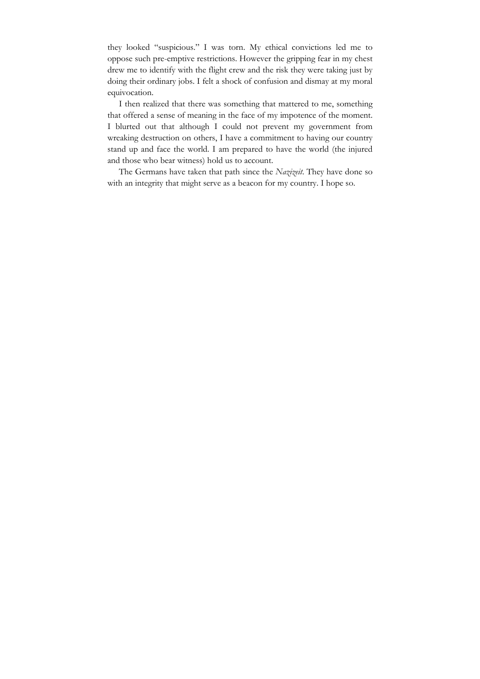they looked "suspicious." I was torn. My ethical convictions led me to oppose such pre-emptive restrictions. However the gripping fear in my chest drew me to identify with the flight crew and the risk they were taking just by doing their ordinary jobs. I felt a shock of confusion and dismay at my moral equivocation.

I then realized that there was something that mattered to me, something that offered a sense of meaning in the face of my impotence of the moment. I blurted out that although I could not prevent my government from wreaking destruction on others, I have a commitment to having our country stand up and face the world. I am prepared to have the world (the injured and those who bear witness) hold us to account.

The Germans have taken that path since the *Nazizeit*. They have done so with an integrity that might serve as a beacon for my country. I hope so.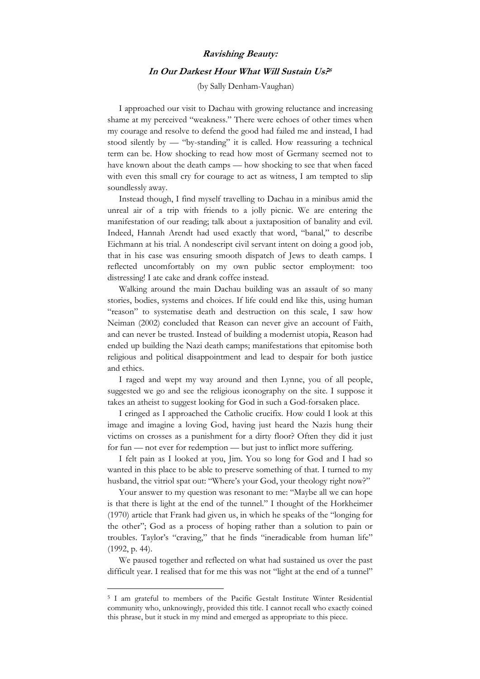## **Ravishing Beauty:**

#### **In Our Darkest Hour What Will Sustain Us? 5**

(by Sally Denham-Vaughan)

I approached our visit to Dachau with growing reluctance and increasing shame at my perceived "weakness." There were echoes of other times when my courage and resolve to defend the good had failed me and instead, I had stood silently by — "by-standing" it is called. How reassuring a technical term can be. How shocking to read how most of Germany seemed not to have known about the death camps — how shocking to see that when faced with even this small cry for courage to act as witness, I am tempted to slip soundlessly away.

Instead though, I find myself travelling to Dachau in a minibus amid the unreal air of a trip with friends to a jolly picnic. We are entering the manifestation of our reading; talk about a juxtaposition of banality and evil. Indeed, Hannah Arendt had used exactly that word, "banal," to describe Eichmann at his trial. A nondescript civil servant intent on doing a good job, that in his case was ensuring smooth dispatch of Jews to death camps. I reflected uncomfortably on my own public sector employment: too distressing! I ate cake and drank coffee instead.

Walking around the main Dachau building was an assault of so many stories, bodies, systems and choices. If life could end like this, using human "reason" to systematise death and destruction on this scale, I saw how Neiman (2002) concluded that Reason can never give an account of Faith, and can never be trusted. Instead of building a modernist utopia, Reason had ended up building the Nazi death camps; manifestations that epitomise both religious and political disappointment and lead to despair for both justice and ethics.

I raged and wept my way around and then Lynne, you of all people, suggested we go and see the religious iconography on the site. I suppose it takes an atheist to suggest looking for God in such a God-forsaken place.

I cringed as I approached the Catholic crucifix. How could I look at this image and imagine a loving God, having just heard the Nazis hung their victims on crosses as a punishment for a dirty floor? Often they did it just for fun — not ever for redemption — but just to inflict more suffering.

I felt pain as I looked at you, Jim. You so long for God and I had so wanted in this place to be able to preserve something of that. I turned to my husband, the vitriol spat out: "Where's your God, your theology right now?"

Your answer to my question was resonant to me: "Maybe all we can hope is that there is light at the end of the tunnel." I thought of the Horkheimer (1970) article that Frank had given us, in which he speaks of the "longing for the other"; God as a process of hoping rather than a solution to pain or troubles. Taylor's "craving," that he finds "ineradicable from human life" (1992, p. 44).

We paused together and reflected on what had sustained us over the past difficult year. I realised that for me this was not "light at the end of a tunnel"

 $\overline{a}$ 

<sup>5</sup> I am grateful to members of the Pacific Gestalt Institute Winter Residential community who, unknowingly, provided this title. I cannot recall who exactly coined this phrase, but it stuck in my mind and emerged as appropriate to this piece.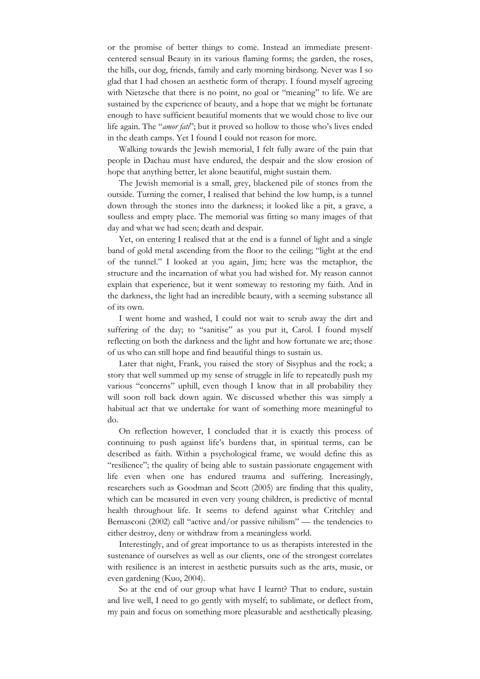or the promise of better things to come. Instead an immediate presentcentered sensual Beauty in its various flaming forms; the garden, the roses, the hills, our dog, friends, family and early morning birdsong. Never was I so glad that I had chosen an aesthetic form of therapy. I found myself agreeing with Nietzsche that there is no point, no goal or "meaning" to life. We are sustained by the experience of beauty, and a hope that we might be fortunate enough to have sufficient beautiful moments that we would chose to live our life again. The "*amor fati*"; but it proved so hollow to those who's lives ended in the death camps. Yet I found I could not reason for more.

Walking towards the Jewish memorial, I felt fully aware of the pain that people in Dachau must have endured, the despair and the slow erosion of hope that anything better, let alone beautiful, might sustain them.

The Jewish memorial is a small, grey, blackened pile of stones from the outside. Turning the corner, I realised that behind the low hump, is a tunnel down through the stones into the darkness; it looked like a pit, a grave, a soulless and empty place. The memorial was fitting so many images of that day and what we had seen; death and despair.

Yet, on entering I realised that at the end is a funnel of light and a single band of gold metal ascending from the floor to the ceiling; "light at the end of the tunnel." I looked at you again, Jim; here was the metaphor, the structure and the incarnation of what you had wished for. My reason cannot explain that experience, but it went someway to restoring my faith. And in the darkness, the light had an incredible beauty, with a seeming substance all of its own.

I went home and washed, I could not wait to scrub away the dirt and suffering of the day; to "sanitise" as you put it, Carol. I found myself reflecting on both the darkness and the light and how fortunate we are; those of us who can still hope and find beautiful things to sustain us.

Later that night, Frank, you raised the story of Sisyphus and the rock; a story that well summed up my sense of struggle in life to repeatedly push my various "concerns" uphill, even though I know that in all probability they will soon roll back down again. We discussed whether this was simply a habitual act that we undertake for want of something more meaningful to do.

On reflection however, I concluded that it is exactly this process of continuing to push against life's burdens that, in spiritual terms, can be described as faith. Within a psychological frame, we would define this as "resilience"; the quality of being able to sustain passionate engagement with life even when one has endured trauma and suffering. Increasingly, researchers such as Goodman and Scott (2005) are finding that this quality, which can be measured in even very young children, is predictive of mental health throughout life. It seems to defend against what Critchley and Bernasconi (2002) call "active and/or passive nihilism" — the tendencies to either destroy, deny or withdraw from a meaningless world.

Interestingly, and of great importance to us as therapists interested in the sustenance of ourselves as well as our clients, one of the strongest correlates with resilience is an interest in aesthetic pursuits such as the arts, music, or even gardening (Kuo, 2004).

So at the end of our group what have I learnt? That to endure, sustain and live well, I need to go gently with myself; to sublimate, or deflect from, my pain and focus on something more pleasurable and aesthetically pleasing.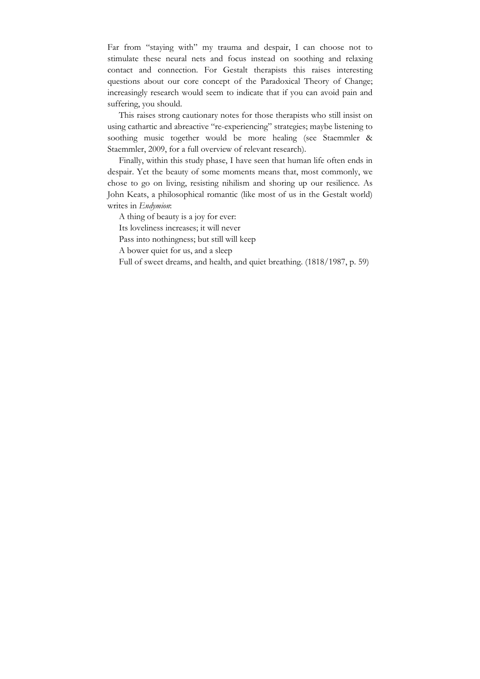Far from "staying with" my trauma and despair, I can choose not to stimulate these neural nets and focus instead on soothing and relaxing contact and connection. For Gestalt therapists this raises interesting questions about our core concept of the Paradoxical Theory of Change; increasingly research would seem to indicate that if you can avoid pain and suffering, you should.

This raises strong cautionary notes for those therapists who still insist on using cathartic and abreactive "re-experiencing" strategies; maybe listening to soothing music together would be more healing (see Staemmler & Staemmler, 2009, for a full overview of relevant research).

Finally, within this study phase, I have seen that human life often ends in despair. Yet the beauty of some moments means that, most commonly, we chose to go on living, resisting nihilism and shoring up our resilience. As John Keats, a philosophical romantic (like most of us in the Gestalt world) writes in *Endymion*:

A thing of beauty is a joy for ever:

Its loveliness increases; it will never

Pass into nothingness; but still will keep

A bower quiet for us, and a sleep

Full of sweet dreams, and health, and quiet breathing. (1818/1987, p. 59)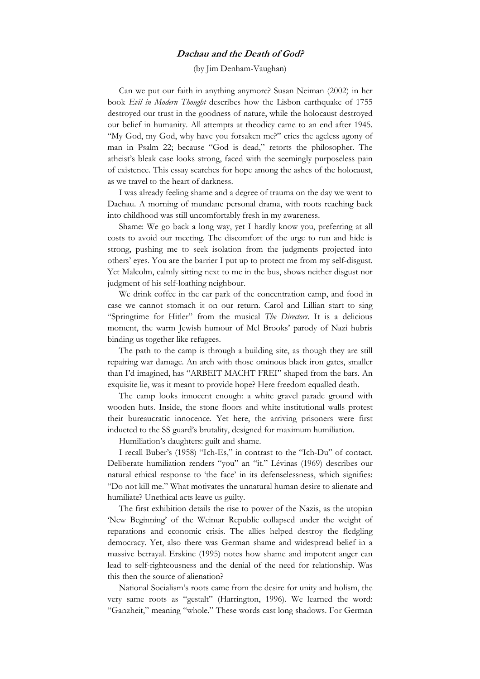## **Dachau and the Death of God?**

(by Jim Denham-Vaughan)

Can we put our faith in anything anymore? Susan Neiman (2002) in her book *Evil in Modern Thought* describes how the Lisbon earthquake of 1755 destroyed our trust in the goodness of nature, while the holocaust destroyed our belief in humanity. All attempts at theodicy came to an end after 1945. "My God, my God, why have you forsaken me?" cries the ageless agony of man in Psalm 22; because "God is dead," retorts the philosopher. The atheist's bleak case looks strong, faced with the seemingly purposeless pain of existence. This essay searches for hope among the ashes of the holocaust, as we travel to the heart of darkness.

I was already feeling shame and a degree of trauma on the day we went to Dachau. A morning of mundane personal drama, with roots reaching back into childhood was still uncomfortably fresh in my awareness.

Shame: We go back a long way, yet I hardly know you, preferring at all costs to avoid our meeting. The discomfort of the urge to run and hide is strong, pushing me to seek isolation from the judgments projected into others' eyes. You are the barrier I put up to protect me from my self-disgust. Yet Malcolm, calmly sitting next to me in the bus, shows neither disgust nor judgment of his self-loathing neighbour.

We drink coffee in the car park of the concentration camp, and food in case we cannot stomach it on our return. Carol and Lillian start to sing "Springtime for Hitler" from the musical *The Directors*. It is a delicious moment, the warm Jewish humour of Mel Brooks' parody of Nazi hubris binding us together like refugees.

The path to the camp is through a building site, as though they are still repairing war damage. An arch with those ominous black iron gates, smaller than I'd imagined, has "ARBEIT MACHT FREI" shaped from the bars. An exquisite lie, was it meant to provide hope? Here freedom equalled death.

The camp looks innocent enough: a white gravel parade ground with wooden huts. Inside, the stone floors and white institutional walls protest their bureaucratic innocence. Yet here, the arriving prisoners were first inducted to the SS guard's brutality, designed for maximum humiliation.

Humiliation's daughters: guilt and shame.

I recall Buber's (1958) "Ich-Es," in contrast to the "Ich-Du" of contact. Deliberate humiliation renders "you" an "it." Lévinas (1969) describes our natural ethical response to 'the face' in its defenselessness, which signifies: "Do not kill me." What motivates the unnatural human desire to alienate and humiliate? Unethical acts leave us guilty.

The first exhibition details the rise to power of the Nazis, as the utopian 'New Beginning' of the Weimar Republic collapsed under the weight of reparations and economic crisis. The allies helped destroy the fledgling democracy. Yet, also there was German shame and widespread belief in a massive betrayal. Erskine (1995) notes how shame and impotent anger can lead to self-righteousness and the denial of the need for relationship. Was this then the source of alienation?

National Socialism's roots came from the desire for unity and holism, the very same roots as "gestalt" (Harrington, 1996). We learned the word: "Ganzheit," meaning "whole." These words cast long shadows. For German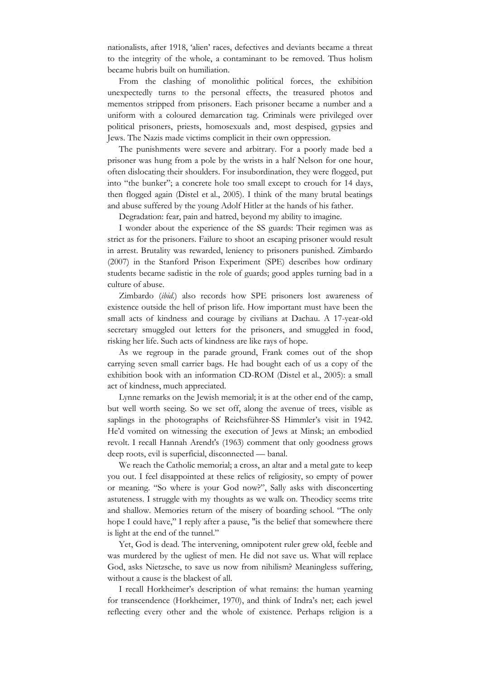nationalists, after 1918, 'alien' races, defectives and deviants became a threat to the integrity of the whole, a contaminant to be removed. Thus holism became hubris built on humiliation.

From the clashing of monolithic political forces, the exhibition unexpectedly turns to the personal effects, the treasured photos and mementos stripped from prisoners. Each prisoner became a number and a uniform with a coloured demarcation tag. Criminals were privileged over political prisoners, priests, homosexuals and, most despised, gypsies and Jews. The Nazis made victims complicit in their own oppression.

The punishments were severe and arbitrary. For a poorly made bed a prisoner was hung from a pole by the wrists in a half Nelson for one hour, often dislocating their shoulders. For insubordination, they were flogged, put into "the bunker"; a concrete hole too small except to crouch for 14 days, then flogged again (Distel et al., 2005). I think of the many brutal beatings and abuse suffered by the young Adolf Hitler at the hands of his father.

Degradation: fear, pain and hatred, beyond my ability to imagine.

I wonder about the experience of the SS guards: Their regimen was as strict as for the prisoners. Failure to shoot an escaping prisoner would result in arrest. Brutality was rewarded, leniency to prisoners punished. Zimbardo (2007) in the Stanford Prison Experiment (SPE) describes how ordinary students became sadistic in the role of guards; good apples turning bad in a culture of abuse.

Zimbardo (*ibid*.) also records how SPE prisoners lost awareness of existence outside the hell of prison life. How important must have been the small acts of kindness and courage by civilians at Dachau. A 17-year-old secretary smuggled out letters for the prisoners, and smuggled in food, risking her life. Such acts of kindness are like rays of hope.

As we regroup in the parade ground, Frank comes out of the shop carrying seven small carrier bags. He had bought each of us a copy of the exhibition book with an information CD-ROM (Distel et al., 2005): a small act of kindness, much appreciated.

Lynne remarks on the Jewish memorial; it is at the other end of the camp, but well worth seeing. So we set off, along the avenue of trees, visible as saplings in the photographs of Reichsführer-SS Himmler's visit in 1942. He'd vomited on witnessing the execution of Jews at Minsk; an embodied revolt. I recall Hannah Arendt's (1963) comment that only goodness grows deep roots, evil is superficial, disconnected — banal.

We reach the Catholic memorial; a cross, an altar and a metal gate to keep you out. I feel disappointed at these relics of religiosity, so empty of power or meaning. "So where is your God now?", Sally asks with disconcerting astuteness. I struggle with my thoughts as we walk on. Theodicy seems trite and shallow. Memories return of the misery of boarding school. "The only hope I could have," I reply after a pause, "is the belief that somewhere there is light at the end of the tunnel."

Yet, God is dead. The intervening, omnipotent ruler grew old, feeble and was murdered by the ugliest of men. He did not save us. What will replace God, asks Nietzsche, to save us now from nihilism? Meaningless suffering, without a cause is the blackest of all.

I recall Horkheimer's description of what remains: the human yearning for transcendence (Horkheimer, 1970), and think of Indra's net; each jewel reflecting every other and the whole of existence. Perhaps religion is a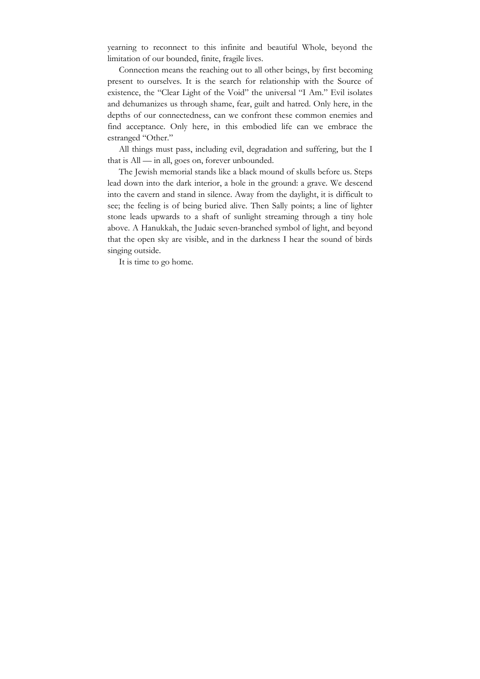yearning to reconnect to this infinite and beautiful Whole, beyond the limitation of our bounded, finite, fragile lives.

Connection means the reaching out to all other beings, by first becoming present to ourselves. It is the search for relationship with the Source of existence, the "Clear Light of the Void" the universal "I Am." Evil isolates and dehumanizes us through shame, fear, guilt and hatred. Only here, in the depths of our connectedness, can we confront these common enemies and find acceptance. Only here, in this embodied life can we embrace the estranged "Other."

All things must pass, including evil, degradation and suffering, but the I that is All — in all, goes on, forever unbounded.

The Jewish memorial stands like a black mound of skulls before us. Steps lead down into the dark interior, a hole in the ground: a grave. We descend into the cavern and stand in silence. Away from the daylight, it is difficult to see; the feeling is of being buried alive. Then Sally points; a line of lighter stone leads upwards to a shaft of sunlight streaming through a tiny hole above. A Hanukkah, the Judaic seven-branched symbol of light, and beyond that the open sky are visible, and in the darkness I hear the sound of birds singing outside.

It is time to go home.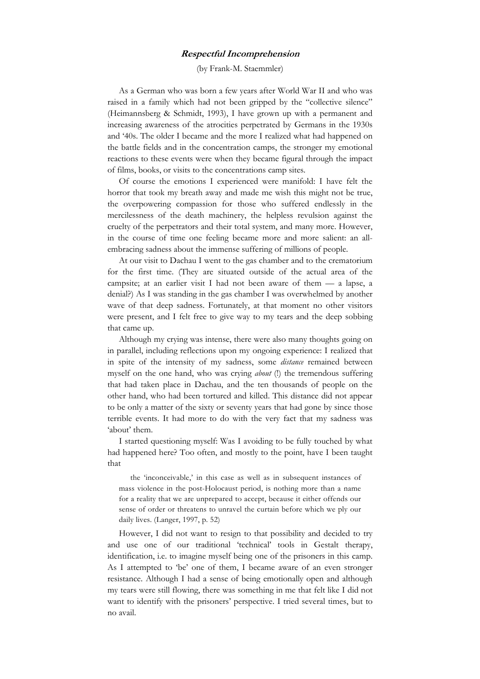## **Respectful Incomprehension**

(by Frank-M. Staemmler)

As a German who was born a few years after World War II and who was raised in a family which had not been gripped by the "collective silence" (Heimannsberg & Schmidt, 1993), I have grown up with a permanent and increasing awareness of the atrocities perpetrated by Germans in the 1930s and '40s. The older I became and the more I realized what had happened on the battle fields and in the concentration camps, the stronger my emotional reactions to these events were when they became figural through the impact of films, books, or visits to the concentrations camp sites.

Of course the emotions I experienced were manifold: I have felt the horror that took my breath away and made me wish this might not be true, the overpowering compassion for those who suffered endlessly in the mercilessness of the death machinery, the helpless revulsion against the cruelty of the perpetrators and their total system, and many more. However, in the course of time one feeling became more and more salient: an allembracing sadness about the immense suffering of millions of people.

At our visit to Dachau I went to the gas chamber and to the crematorium for the first time. (They are situated outside of the actual area of the campsite; at an earlier visit I had not been aware of them — a lapse, a denial?) As I was standing in the gas chamber I was overwhelmed by another wave of that deep sadness. Fortunately, at that moment no other visitors were present, and I felt free to give way to my tears and the deep sobbing that came up.

Although my crying was intense, there were also many thoughts going on in parallel, including reflections upon my ongoing experience: I realized that in spite of the intensity of my sadness, some *distance* remained between myself on the one hand, who was crying *about* (!) the tremendous suffering that had taken place in Dachau, and the ten thousands of people on the other hand, who had been tortured and killed. This distance did not appear to be only a matter of the sixty or seventy years that had gone by since those terrible events. It had more to do with the very fact that my sadness was 'about' them.

I started questioning myself: Was I avoiding to be fully touched by what had happened here? Too often, and mostly to the point, have I been taught that

the 'inconceivable,' in this case as well as in subsequent instances of mass violence in the post-Holocaust period, is nothing more than a name for a reality that we are unprepared to accept, because it either offends our sense of order or threatens to unravel the curtain before which we ply our daily lives. (Langer, 1997, p. 52)

However, I did not want to resign to that possibility and decided to try and use one of our traditional 'technical' tools in Gestalt therapy, identification, i.e. to imagine myself being one of the prisoners in this camp. As I attempted to 'be' one of them, I became aware of an even stronger resistance. Although I had a sense of being emotionally open and although my tears were still flowing, there was something in me that felt like I did not want to identify with the prisoners' perspective. I tried several times, but to no avail.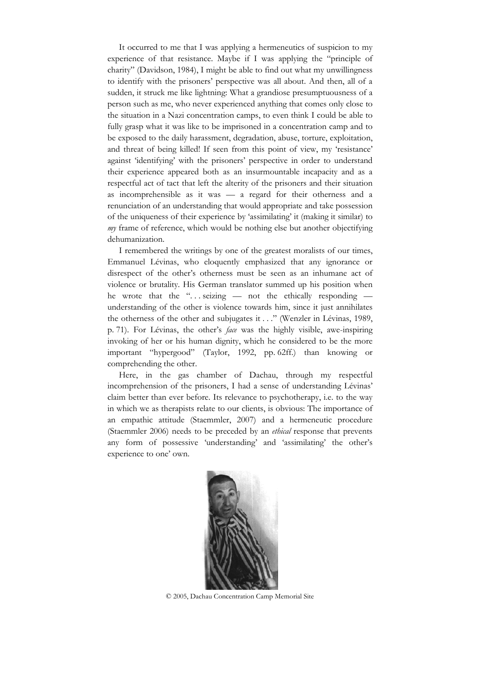It occurred to me that I was applying a hermeneutics of suspicion to my experience of that resistance. Maybe if I was applying the "principle of charity" (Davidson, 1984), I might be able to find out what my unwillingness to identify with the prisoners' perspective was all about. And then, all of a sudden, it struck me like lightning: What a grandiose presumptuousness of a person such as me, who never experienced anything that comes only close to the situation in a Nazi concentration camps, to even think I could be able to fully grasp what it was like to be imprisoned in a concentration camp and to be exposed to the daily harassment, degradation, abuse, torture, exploitation, and threat of being killed! If seen from this point of view, my 'resistance' against 'identifying' with the prisoners' perspective in order to understand their experience appeared both as an insurmountable incapacity and as a respectful act of tact that left the alterity of the prisoners and their situation as incomprehensible as it was — a regard for their otherness and a renunciation of an understanding that would appropriate and take possession of the uniqueness of their experience by 'assimilating' it (making it similar) to *my* frame of reference, which would be nothing else but another objectifying dehumanization.

I remembered the writings by one of the greatest moralists of our times, Emmanuel Lévinas, who eloquently emphasized that any ignorance or disrespect of the other's otherness must be seen as an inhumane act of violence or brutality. His German translator summed up his position when he wrote that the " $\dots$  seizing — not the ethically responding understanding of the other is violence towards him, since it just annihilates the otherness of the other and subjugates it . . ." (Wenzler in Lévinas, 1989, p. 71). For Lévinas, the other's *face* was the highly visible, awe-inspiring invoking of her or his human dignity, which he considered to be the more important "hypergood" (Taylor, 1992, pp. 62ff.) than knowing or comprehending the other.

Here, in the gas chamber of Dachau, through my respectful incomprehension of the prisoners, I had a sense of understanding Lévinas' claim better than ever before. Its relevance to psychotherapy, i.e. to the way in which we as therapists relate to our clients, is obvious: The importance of an empathic attitude (Staemmler, 2007) and a hermeneutic procedure (Staemmler 2006) needs to be preceded by an *ethical* response that prevents any form of possessive 'understanding' and 'assimilating' the other's experience to one' own.



© 2005, Dachau Concentration Camp Memorial Site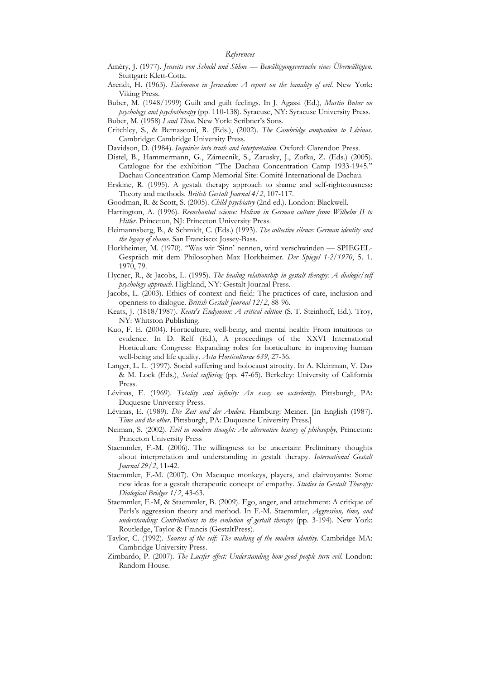#### *References*

- Améry, J. (1977). *Jenseits von Schuld und Sühne Bewältigungsversuche eines Überwältigten*. Stuttgart: Klett-Cotta.
- Arendt, H. (1963). *Eichmann in Jerusalem: A report on the banality of evil*. New York: Viking Press.
- Buber, M. (1948/1999) Guilt and guilt feelings. In J. Agassi (Ed.), *Martin Buber on psychology and psychotherapy* (pp. 110-138). Syracuse, NY: Syracuse University Press.
- Buber, M. (1958) *I and Thou*. New York: Scribner's Sons.
- Critchley, S., & Bernasconi, R. (Eds.), (2002). *The Cambridge companion to Lévinas.*  Cambridge: Cambridge University Press.
- Davidson, D. (1984). *Inquiries into truth and interpretation*. Oxford: Clarendon Press.
- Distel, B., Hammermann, G., Zámecnik, S., Zarusky, J., Zofka, Z. (Eds.) (2005). Catalogue for the exhibition "The Dachau Concentration Camp 1933-1945." Dachau Concentration Camp Memorial Site: Comité International de Dachau.
- Erskine, R. (1995). A gestalt therapy approach to shame and self-righteousness: Theory and methods. *British Gestalt Journal 4/2*, 107-117.
- Goodman, R. & Scott, S. (2005). *Child psychiatry* (2nd ed.). London: Blackwell.
- Harrington, A. (1996). *Reenchanted science: Holism in German culture from Wilhelm II to Hitler*. Princeton, NJ: Princeton University Press.
- Heimannsberg, B., & Schmidt, C. (Eds.) (1993). *The collective silence: German identity and the legacy of shame*. San Francisco: Jossey-Bass.
- Horkheimer, M. (1970). "Was wir 'Sinn' nennen, wird verschwinden SPIEGEL-Gespräch mit dem Philosophen Max Horkheimer. *Der Spiegel 1-2/1970*, 5. 1. 1970, 79.
- Hycner, R., & Jacobs, L. (1995). *The healing relationship in gestalt therapy: A dialogic/self psychology approach*. Highland, NY: Gestalt Journal Press.
- Jacobs, L. (2003). Ethics of context and field: The practices of care, inclusion and openness to dialogue. *British Gestalt Journal 12/2*, 88-96.
- Keats, J. (1818/1987). *Keats's Endymion: A critical edition* (S. T. Steinhoff, Ed.). Troy, NY: Whitston Publishing.
- Kuo, F. E. (2004). Horticulture, well-being, and mental health: From intuitions to evidence. In D. Relf (Ed.), A proceedings of the XXVI International Horticulture Congress: Expanding roles for horticulture in improving human well-being and life quality. *Acta Horticulturae 639*, 27-36.
- Langer, L. L. (1997). Social suffering and holocaust atrocity. In A. Kleinman, V. Das & M. Lock (Eds.), *Social suffering* (pp. 47-65). Berkeley: University of California Press.
- Lévinas, E. (1969). *Totality and infinity: An essay on exteriority*. Pittsburgh, PA: Duquesne University Press.
- Lévinas, E. (1989). *Die Zeit und der Andere*. Hamburg: Meiner. [In English (1987). *Time and the other*. Pittsburgh, PA: Duquesne University Press.]
- Neiman, S. (2002). *Evil in modern thought: An alternative history of philosophy*, Princeton: Princeton University Press
- Staemmler, F.-M. (2006). The willingness to be uncertain: Preliminary thoughts about interpretation and understanding in gestalt therapy. *International Gestalt Journal 29/2*, 11-42.
- Staemmler, F.-M. (2007). On Macaque monkeys, players, and clairvoyants: Some new ideas for a gestalt therapeutic concept of empathy. *Studies in Gestalt Therapy: Dialogical Bridges 1/2*, 43-63.
- Staemmler, F.-M, & Staemmler, B. (2009). Ego, anger, and attachment: A critique of Perls's aggression theory and method. In F.-M. Staemmler, *Aggression, time, and understanding: Contributions to the evolution of gestalt therapy* (pp. 3-194). New York: Routledge, Taylor & Francis (GestaltPress).
- Taylor, C. (1992). *Sources of the self: The making of the modern identity*. Cambridge MA: Cambridge University Press.
- Zimbardo, P. (2007). *The Lucifer effect: Understanding how good people turn evil*. London: Random House.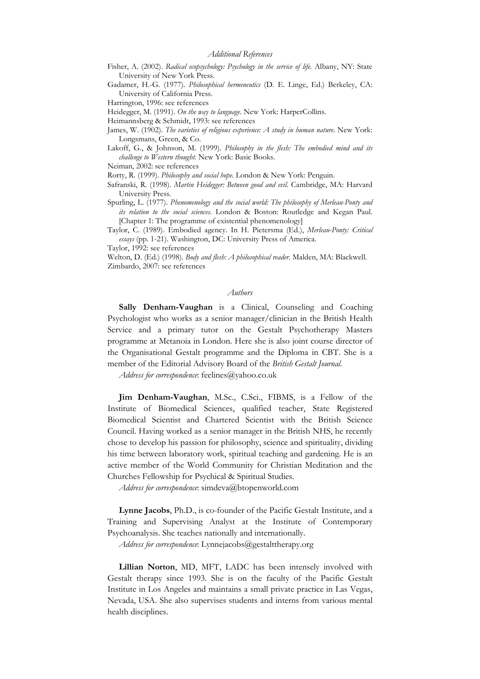- Fisher, A. (2002). *Radical ecopsychology: Psychology in the service of life*. Albany, NY: State University of New York Press.
- Gadamer, H.-G. (1977). *Philosophical hermeneutics* (D. E. Linge, Ed.) Berkeley, CA: University of California Press.
- Harrington, 1996: see references
- Heidegger, M. (1991). *On the way to language*. New York: HarperCollins.
- Heimannsberg & Schmidt, 1993: see references
- James, W. (1902). *The varieties of religious experience: A study in human nature*. New York: Longsmans, Green, & Co.
- Lakoff, G., & Johnson, M. (1999). *Philosophy in the flesh: The embodied mind and its challenge to Western thought*. New York: Basic Books.

Neiman, 2002: see references

Rorty, R. (1999). *Philosophy and social hope.* London & New York: Penguin.

Safranski, R. (1998). *Martin Heidegger: Between good and evil*. Cambridge, MA: Harvard University Press.

Spurling, L. (1977). *Phenomenology and the social world: The philosophy of Merleau-Ponty and its relation to the social sciences*. London & Boston: Routledge and Kegan Paul. [Chapter 1: The programme of existential phenomenology]

Taylor, C. (1989). Embodied agency. In H. Pietersma (Ed.), *Merleau-Ponty: Critical essays* (pp. 1-21). Washington, DC: University Press of America.

Taylor, 1992: see references

Welton, D. (Ed.) (1998). *Body and flesh: A philosophical reader*. Malden, MA: Blackwell. Zimbardo, 2007: see references

#### *Authors*

**Sally Denham-Vaughan** is a Clinical, Counseling and Coaching Psychologist who works as a senior manager/clinician in the British Health Service and a primary tutor on the Gestalt Psychotherapy Masters programme at Metanoia in London. Here she is also joint course director of the Organisational Gestalt programme and the Diploma in CBT. She is a member of the Editorial Advisory Board of the *British Gestalt Journal*.

*Address for correspondence*: feelines@yahoo.co.uk

**Jim Denham-Vaughan**, M.Sc., C.Sci., FIBMS, is a Fellow of the Institute of Biomedical Sciences, qualified teacher, State Registered Biomedical Scientist and Chartered Scientist with the British Science Council. Having worked as a senior manager in the British NHS, he recently chose to develop his passion for philosophy, science and spirituality, dividing his time between laboratory work, spiritual teaching and gardening. He is an active member of the World Community for Christian Meditation and the Churches Fellowship for Psychical & Spiritual Studies.

*Address for correspondence*: simdeva@btopenworld.com

**Lynne Jacobs**, Ph.D., is co-founder of the Pacific Gestalt Institute, and a Training and Supervising Analyst at the Institute of Contemporary Psychoanalysis. She teaches nationally and internationally.

*Address for correspondence*: Lynnejacobs@gestalttherapy.org

**Lillian Norton**, MD, MFT, LADC has been intensely involved with Gestalt therapy since 1993. She is on the faculty of the Pacific Gestalt Institute in Los Angeles and maintains a small private practice in Las Vegas, Nevada, USA. She also supervises students and interns from various mental health disciplines.